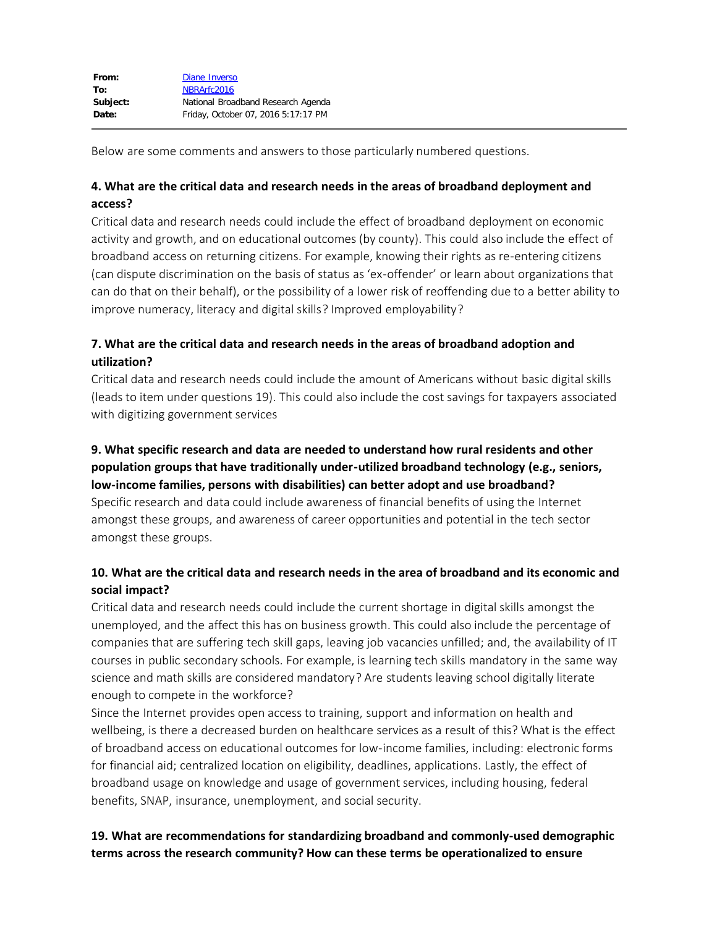Below are some comments and answers to those particularly numbered questions.

### **4. What are the critical data and research needs in the areas of broadband deployment and access?**

Critical data and research needs could include the effect of broadband deployment on economic activity and growth, and on educational outcomes (by county). This could also include the effect of broadband access on returning citizens. For example, knowing their rights as re-entering citizens (can dispute discrimination on the basis of status as 'ex-offender' or learn about organizations that can do that on their behalf), or the possibility of a lower risk of reoffending due to a better ability to improve numeracy, literacy and digital skills? Improved employability?

# **7. What are the critical data and research needs in the areas of broadband adoption and utilization?**

Critical data and research needs could include the amount of Americans without basic digital skills (leads to item under questions 19). This could also include the cost savings for taxpayers associated with digitizing government services

### **9. What specific research and data are needed to understand how rural residents and other population groups that have traditionally under-utilized broadband technology (e.g., seniors, low-income families, persons with disabilities) can better adopt and use broadband?**

Specific research and data could include awareness of financial benefits of using the Internet amongst these groups, and awareness of career opportunities and potential in the tech sector amongst these groups.

# **10. What are the critical data and research needs in the area of broadband and its economic and social impact?**

Critical data and research needs could include the current shortage in digital skills amongst the unemployed, and the affect this has on business growth. This could also include the percentage of companies that are suffering tech skill gaps, leaving job vacancies unfilled; and, the availability of IT courses in public secondary schools. For example, is learning tech skills mandatory in the same way science and math skills are considered mandatory? Are students leaving school digitally literate enough to compete in the workforce?

Since the Internet provides open access to training, support and information on health and wellbeing, is there a decreased burden on healthcare services as a result of this? What is the effect of broadband access on educational outcomes for low-income families, including: electronic forms for financial aid; centralized location on eligibility, deadlines, applications. Lastly, the effect of broadband usage on knowledge and usage of government services, including housing, federal benefits, SNAP, insurance, unemployment, and social security.

## **19. What are recommendations for standardizing broadband and commonly-used demographic terms across the research community? How can these terms be operationalized to ensure**